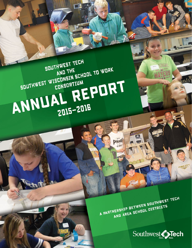A PARTNERSHIP BETWEEN SOUTHWEST TECH AND AREA SCHOOL DISTRICTS

**PRID** 



# SOUTHWEST TECH SDUTHWEST WISCONSIN SCHOOL TO WORK ANNUAL REPORT 2015-2016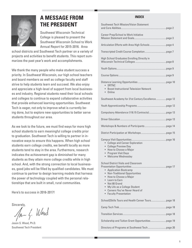

# **A MESSAGE FROM THE PRESIDENT**

Southwest Wisconsin Technical College is pleased to present the Southwest Wisconsin School to Work Annual Report for 2015-2016. Area

school districts and Southwest Tech partner on a variety of projects and activities to benefit students. This report summarizes the past year's work and accomplishments.

We thank the many people who make student success a priority. In Southwest Wisconsin, our high school teachers and board members as well as college faculty and staff strive to help students learn and succeed. We also enjoy and appreciate a high-level of support from local businesses and industry. Regional students need their local schools and colleges to continue to expand collaborative activities that provide enhanced learning opportunities. Southwest Tech is eager, not only to improve what is currently being done, but to explore new opportunities to better serve students throughout our area.

As we look to the future, we must find ways for more high school students to earn meaningful college credits prior to graduation. Southwest Tech is willing to partner in innovative ways to ensure this happens. When high school students earn college credits, we benefit locally as more students tend to stay in the area. Furthermore, research indicates the achievement gap is diminished for many students as they attain more college credits while in high school. And, with the strong connection to local businesses, good jobs will be filled by qualified candidates. We must continue to partner to design learning models that harness the power of technology coupled with the personal relationships that are built in small, rural communities.

Here's to success in 2016-2017!

Sincerely,<br> $\sqrt{\varkappa}$   $\sqrt{\varkappa}$  Weod

Jason S. Wood, Ph.D. Southwest Tech President

#### **INDEX**

| <b>Southwest Tech Mission/Vision Statement</b>                                                                                                                                                                                                                                                                                             |
|--------------------------------------------------------------------------------------------------------------------------------------------------------------------------------------------------------------------------------------------------------------------------------------------------------------------------------------------|
| <b>Career Prep/School to Work Initiative</b>                                                                                                                                                                                                                                                                                               |
|                                                                                                                                                                                                                                                                                                                                            |
|                                                                                                                                                                                                                                                                                                                                            |
| High School Graduates Enrolling Directly in                                                                                                                                                                                                                                                                                                |
|                                                                                                                                                                                                                                                                                                                                            |
|                                                                                                                                                                                                                                                                                                                                            |
| $\bullet$ SRTNC<br>• Boost Instructional Television Network<br>• Online                                                                                                                                                                                                                                                                    |
|                                                                                                                                                                                                                                                                                                                                            |
|                                                                                                                                                                                                                                                                                                                                            |
|                                                                                                                                                                                                                                                                                                                                            |
|                                                                                                                                                                                                                                                                                                                                            |
|                                                                                                                                                                                                                                                                                                                                            |
|                                                                                                                                                                                                                                                                                                                                            |
| • College and Career Exploration<br>• College Preview Day<br>• How to Choose a Major<br>• Program Visit Days<br>• Welcome Wednesday                                                                                                                                                                                                        |
| <b>School District Visits and Classroom</b><br><b>Application Bootcamp</b><br><b>Non-Traditional Opportunities</b><br>$\bullet$<br>How to Choose a Major<br>$\bullet$<br>Learn to Farn<br>$\bullet$<br>Not 80 Grand<br>$\bullet$<br>My Life as a College Student<br>$\bullet$<br>• Careers You've Never Heard of<br>• Faculty Presentation |
|                                                                                                                                                                                                                                                                                                                                            |
|                                                                                                                                                                                                                                                                                                                                            |
|                                                                                                                                                                                                                                                                                                                                            |
|                                                                                                                                                                                                                                                                                                                                            |
|                                                                                                                                                                                                                                                                                                                                            |
|                                                                                                                                                                                                                                                                                                                                            |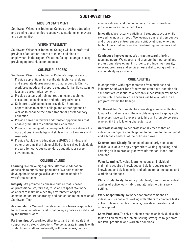# **SOUTHWEST TECH**

#### **MISSION STATEMENT**

Southwest Wisconsin Technical College provides education and training opportunities responsive to students, employers, and communities.

# **VISION STATEMENT**

Southwest Wisconsin Technical College will be a preferred provider of education, source of talent, and place of employment in the region. We at the College change lives by providing opportunities for success.

# **COLLEGE PURPOSES**

Southwest Wisconsin Technical College's purposes are to:

- 1. Provide apprenticeship, certificate, technical diploma, and associate degree programs that respond to District workforce needs and prepare students for family-sustaining jobs and career advancement.
- 2. Provide customized training, retraining, and technical assistance to businesses and other organizations.
- 3. Collaborate with schools to provide K-12 students opportunities to explore college and career options as well as to enhance their preparation for postsecondary education.
- 4. Provide career pathways and transfer opportunities that enable graduates to continue their education.
- 5. Provide continuing education opportunities to enhance the occupational knowledge and skills of District workers and residents.
- 6. Provide Adult Basic Education, GED/HSED, bridge, and other programs that help unskilled or low-skilled individuals prepare for work, postsecondary education, or career advancement.

# **COLLEGE VALUES**

**Learning.** We make high-quality, affordable education accessible to our diverse population. We help students develop the knowledge, skills, and attitudes needed for workforce success.

**Integrity.** We promote a cohesive culture that is based on professionalism, fairness, trust, and respect. We work as a team to maintain a healthy environment of open communication, transparency, and dedication to the mission of Southwest Tech.

**Accountability.** We hold ourselves and our teams responsible for achieving academic and fiscal College goals as established by the District Board.

**Partnerships.** We work together to set and attain goals that support our strategic directions. We collaborate internally with students and staff and externally with businesses, donors,

alumni, retirees, and the community to identify needs and provide services that impact lives.

**Innovation.** We foster creativity and student success while exceeding industry needs. We leverage our rural perspective and progressive entrepreneurial spirit by utilizing emerging technologies that incorporate trend-setting techniques and strategies.

**Continuous Improvement.** We attract forward-thinking team members. We support and promote their personal and professional development in order to produce high-quality, relevant programs and services, essential to our growth and sustainability as a college.

# **CORE ABILITIES**

In cooperation with representatives from business and industry, Southwest Tech faculty and staff have identified six skills that are essential to a person's successful performance on-the-job. These six core abilities will be evaluated in all programs within the College.

Southwest Tech's core abilities provide graduates with lifelong skills that will assist them in obtaining and keeping a job. Employers have said they prefer to hire and promote persons who exhibit the following characteristics:

**Act Professionally.** To act professionally means that an individual recognizes an obligation to conform to the technical and ethical standards of their chosen career.

**Communicate Clearly.** To communicate clearly means an individual is able to apply appropriate writing, speaking, and listening skills to precisely convey information, ideas, and opinions.

**Value Learning.** To value learning means an individual maintains acquired knowledge and skills, acquires new knowledge and skills quickly, and adapts to technological and workplace changes.

**Work Productively.** To work productively means an individual applies effective work habits and attitudes within a work setting.

**Work Cooperatively.** To work cooperatively means an individual is capable of working with others to complete tasks, solve problems, resolve conflicts, provide information and offer support.

**Solve Problems.** To solve problems means an individual is able to use all elements of problem solving strategies to generate realistic, practical, and workable solutions.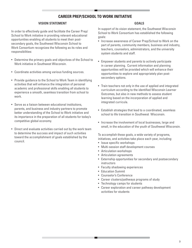# **CAREER PREP/SCHOOL TO WORK INITIATIVE**

#### **VISION STATEMENT**

In order to effectively guide and facilitate the Career Prep/ School to Work initiative in providing relevant educational opportunities enabling all students to meet their postsecondary goals, the Southwest Wisconsin School to Work Consortium recognizes the following as its roles and responsibilities:

- Determine the primary goals and objectives of the School to Work initiative in Southwest Wisconsin.
- Coordinate activities among various funding sources.
- Provide guidance to the School to Work Team in identifying activities that will enhance the integration of personal academic and professional skills enabling all students to experience a smooth, seamless transition from school to work.
- Serve as a liaison between educational institutions, parents, and business and industry partners to promote better understanding of the School to Work initiative and its importance in the preparation of all students for today's competitive global economy.
- Direct and evaluate activities carried out by the work team to determine the success and impact of such activities toward the accomplishment of goals established by the council.

#### **GOALS**

In support of its vision statement, the Southwest Wisconsin School to Work Consortium has established the following goals:

- Increase awareness of Career Prep/School to Work on the part of parents, community members, business and industry, teachers, counselors, administrators, and the university system students and staff.
- Empower students and parents to actively participate in career planning. Current information and planning opportunities will be provided which will enhance their opportunities to explore and appropriately plan postsecondary options.
- Train teachers not only in the use of applied and integrated curriculum according to the identified Wisconsin Learner Outcomes, but also in new methods to assess student learning based on the incorporation of applied and integrated curricula.
- Establish strategies that lead to a coordinated, seamless school to life transition in Southwest Wisconsin.
- Increase the involvement of local businesses, large and small, in the education of the youth of Southwest Wisconsin.

To accomplish these goals, a wide variety of programs, initiatives, and activities take place each year, including:

- Issue specific workshops
- Multi-session staff development courses
- Articulation workshops
- Articulation agreements
- Externship opportunities for secondary and postsecondary instructors
- Faculty shadowing experiences
- Education Summit
- Counselor's Conference
- Career clusters/pathways programs of study
- Technology camps for students
- Career exploration and career pathway development activities for students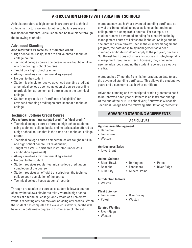# **ARTICULATION EFFORTS WITH AREA HIGH SCHOOLS**

Articulation refers to high school instructors and technical college instructors working together to build a seamless transition for students. Articulation can be take place through the following methods:

# **Advanced Standing**

# **Also referred to by some as "articulated credit".**

- High school courses(s) that are equivalent to a technical college course
- Technical college course competencies are taught in full in one or more high school courses
- Taught by a high school teacher
- Always involves a written formal agreement
- No cost to the student
- Student is eligible to receive advanced standing credit at a technical college upon completion of course according to articulation agreement and enrollment in the technical college
- Student may receive a "certificate of eligibility" for advanced standing credit upon enrollment at a technical college

# **Technical College Credit Course**

# **Also referred to as "transcripted credit" or "dual credit".**

- Technical college course offered to high school students using technical college books and materials; also offered as a high school course that is the same as a technical college course
- Technical college course competencies are taught in full in one high school course (1:1 relationship)
- Taught by a WTCS certifiable instructor (under WEAC certification agreement)
- Always involves a written formal agreement
- No cost to the student
- Student receives regular technical college credit upon completion of the course
- Student receives an official transcript from the technical college upon completion of the course
- Technical college keeps students' records

Through articulation of courses, a student follows a course of study that allows him/her to take 2 years in high school, 2 years at a technical college, and 2 years at a university without repeating any coursework or losing any credits. When the student has completed the 2+2+2 coursework, he/she will have a baccalaureate degree in his/her area of interest.

A student may use his/her advanced standing certificate at any of the 16 technical colleges as long as that technical college offers a comparable course. For example, if a student received advanced standing for a hotel/hospitality management course at Lakeshore Technical College and he/ she enrolled at Southwest Tech in the culinary management program, the hotel/hospitality management advanced standing certificate would not apply to the program, because Southwest Tech does not offer any courses in hotel/hospitality management. Southwest Tech, however, may choose to use the advanced standing the student received as elective credits.

A student has 27 months from his/her graduation date to use the advanced standing certificate. This allows the student two years and a summer to use his/her certificate.

Advanced standing and transcripted credit agreements need to be renewed each year or if there is an instructor change. At the end of the 2015-16 school year, Southwest Wisconsin Technical College had the following articulation agreements:

# **ADVANCED STANDING AGREEMENTS**

# **AGRICULTURE**

#### **Agribusiness Management**

- Darlington
- Fennimore
- Weston

# **Agribusiness Sales**

• Iowa-Grant

#### **Animal Science**

- Black Hawk
- Boscobel
- Darlington • Fennimore

• Weston

• Mineral Point

• Potosi • River Ridge

#### **Introduction to Soils**

• Weston

• Cuba City

#### **Plant Science**

- Fennimore • River Valley
- Potosi

# **Related Welding**

- River Ridge
- Weston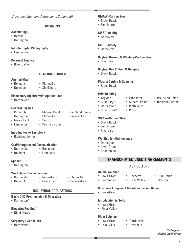# **BUSINESS**

#### **Accounting I**

- Benton
- Darlington

# **Intro to Digital Photography**

• Fennimore

# **Personal Finance**

• River Valley

# **GENERAL STUDIES**

#### **Applied Math**

- Belmont • Boscobel
- Platteville
- Shullsburg

# **Elementary Algebra with Applications**

• Bareneveld

# **General Physics**

- Cuba City
- Darlington
- Iowa-Grant
- Lancaster

- Mineral Point • Platteville
- 
- 

# **Introduction to Sociology**

• Richland Center

# **Oral/Interpersonal Communication**

- Barneveld • Belmont
- Lancaster

• Boscobel

# **Speech**

• Darlington

# **Workplace Communication**

- Barneveld
- Belmont
- Lancaster

• Iowa-Grant

- Platteville
- River Valley

# **INDUSTRIAL OCCUPATIONS**

# **Basic CNC Programming & Operation**

• Darlington^

# **Blueprint Reading 1**

• Black Hawk

# **Carpentry 1 31-475-301**

• Barneveld^

# **GMAW–Carbon Steel**

- Black Hawk
- Fennimore

# **MSSC–Quality**

• Barneveld

# **MSSC–Safety**

• Barneveld

# **Oxyfuel Brazing & Welding-Carbon Steel**

• Riverdale

# **Oxyfuel Gas Cutting & Gouging**

• Black Hawk

# **Plasma Cutting & Gouging**

• Black Hawk

# **Print Reading**

- Argyle<sup>^</sup>
- Cuba City^
- Darlington^
- Iowa-Grant^ • Potosi^

• Lancaster<sup>^</sup> • Mineral Point^ • Platteville<sup>^</sup>

# **SMAW–Carbon Steel**

- Black Hawk
- Fennimore
- Riverdale

# **Welding for Maintenance**

- Darlington
- Iowa-Grant
- Pecatonica
	- **TRANSCRIPTED CREDIT AGREEMENTS**

# **AGRICULTURE**

# **Animal Science**

- Iowa-Grant • Pecatonica
- Poynette • River Valley
- Weston

• Sun Prairie

# **Consumer Equipment Maintenance and Repair**

• Iowa-Grant

# **Introduction to Soils**

- Iowa-Grant
- River Valley

# **Plant Science**

- Iowa-Grant • Lake Mills
- Pardeeville
- Riverdale
- *\*In Progress ^Partial Credit Given*
- 
- Prairie du Chien^
- Richland Center^

- River Valley
- Richland Center
- 
- Prairie du Chien
- Potosi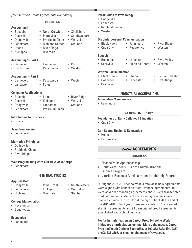|                                                                                                                            | [Transcripted Credit Agreements Continued]                                                                              |                                                        | <b>Introduction to Psychology</b>                                                                                                                                                                                                                                          |  |
|----------------------------------------------------------------------------------------------------------------------------|-------------------------------------------------------------------------------------------------------------------------|--------------------------------------------------------|----------------------------------------------------------------------------------------------------------------------------------------------------------------------------------------------------------------------------------------------------------------------------|--|
|                                                                                                                            | <b>BUSINESS</b>                                                                                                         |                                                        | • Dodgeville<br>• Lancaster                                                                                                                                                                                                                                                |  |
| <b>Accounting I</b><br>Boscobel<br>Cassville<br>Dodgeville<br>$\bullet$<br>Fennimore<br>Ithaca<br>$\bullet$<br>• Kickapoo  | • North Crawford<br>Platteville<br>$\bullet$<br>• Prairie du Chien<br>• Richland Center<br>• River Ridge<br>• Riverdale | • Shullsburg<br>Southwestern<br>• Wauzeka-<br>Steuben  | <b>Richland Center</b><br>$\bullet$<br>• Weston<br><b>Oral/Interpersonal Communication</b><br>• Black Hawk<br>• Fennimore<br>• River Ridge<br>• Cuba City<br>• Weston<br>Pecatonica<br>$\bullet$                                                                           |  |
| <b>Accounting 1-Part 1</b><br><b>Barneveld</b><br>• Iowa-Grant<br><b>Accounting 1-Part 2</b><br>• Barneveld<br>• Lancaster | • Lancaster<br>• Pecatonica<br>• Pecatonica<br>• Potosi                                                                 | • Potosi<br>• Weston<br>• Weston                       | <b>Speech</b><br>• Boscobel<br>Lancaster<br>• River Valley<br>• Cassville<br><b>Richland Center</b><br>• Weston<br>$\bullet$<br><b>Written Communication</b><br>• Black Hawk<br>• Ithaca<br>• Richland Center<br>• River Ridge<br>• Boscobel<br>• Lancaster<br>• Cassville |  |
| <b>Computer Applications</b>                                                                                               |                                                                                                                         |                                                        | <b>INDUSTRIAL OCCUPATIONS</b>                                                                                                                                                                                                                                              |  |
| · Boscobel<br>Cassville<br>Dodgeville<br>• Fennimore                                                                       | $\bullet$ Ithaca<br>• Kickapoo<br>• Lancaster<br>• Prairie du Chien                                                     | <b>River Ridge</b><br>$\bullet$<br>Wauzeka-<br>Steuben | <b>Automotive Maintenance</b><br>• Fennimore                                                                                                                                                                                                                               |  |
| <b>Introduction to Business</b><br>• Ithaca                                                                                |                                                                                                                         |                                                        | <b>SERVICE INDUSTRY</b><br><b>Foundations of Early Childhood Education</b><br>• Cuba City                                                                                                                                                                                  |  |
| <b>Java Programming</b><br>• Fennimore<br><b>Marketing Principles</b>                                                      |                                                                                                                         |                                                        | <b>Golf Course Design &amp; Renovation</b><br>• Holmen<br>• Pardeeville                                                                                                                                                                                                    |  |
| • Dodgeville<br>• Prairie du Chien                                                                                         |                                                                                                                         |                                                        | 2+2+2 AGREEMENTS                                                                                                                                                                                                                                                           |  |
| <b>River Ridge</b>                                                                                                         |                                                                                                                         |                                                        | <b>BUSINESS</b>                                                                                                                                                                                                                                                            |  |
| • Fennimore                                                                                                                | <b>Web Programming With XHTML &amp; JavaScript</b>                                                                      |                                                        | <b>Finance Youth Apprenticeship</b><br>+ Southwest Tech's Business Administration/<br><b>Finance Program</b>                                                                                                                                                               |  |
|                                                                                                                            | <b>GENERAL STUDIES</b>                                                                                                  |                                                        | + Viterbo's Business Administration: Leadership Program                                                                                                                                                                                                                    |  |
| <b>Applied Math</b><br>Dodgeville<br>Fennimore<br>Highland                                                                 | Iowa-Grant<br>Kickapoo<br>Riverdale                                                                                     | Southwestern<br>Wauzeka-<br>Steuben                    | During the 2015-2016 school year, a total of 44 new agreement<br>were signed with school districts. Of these agreements, 18<br>were advanced standing agreements and 26 were transcripte<br>credit agreements. Many of these new agreements were                           |  |

# **College Mathematics**

- Pecatonica
- Southwestern

#### **Economics**

**6**

• Lancaster

During the 2015-2016 school year, a total of 44 new agreements were advanced standing agreements and 26 were transcripted due to a change in instructor at the high school. At the end of the 2015-2016 school year, there were a total of 76 advanced standing agreements and 93 transcripted credit agreements established with school districts.

**For further information on Career Prep/School to Work initiatives or articulation, contact Mary Johannesen, Career Prep and Youth Options Specialist, at 800-362-3322, Ext. 2367, or 608-822-2367, or email mjohannesen@swtc.edu.**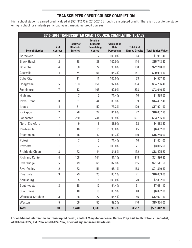# **TRANSCRIPTED CREDIT COURSE COMPLETION**

High school students earned credit valued at \$501,342.70 in 2015-2016 through transcripted credit. There is no cost to the student or high school for students participating in transcripted credit courses.

|                        |                        |                                                  |                                                                     |                                         | 2015-2016 TRANSCRIPTED CREDIT COURSE COMPLETION TOTALS |                            |
|------------------------|------------------------|--------------------------------------------------|---------------------------------------------------------------------|-----------------------------------------|--------------------------------------------------------|----------------------------|
| <b>School District</b> | # of<br><b>Courses</b> | Total # of<br><b>Students</b><br><b>Enrolled</b> | Total # of<br><b>Students</b><br><b>Completing</b><br><b>Course</b> | <b>Completion</b><br>Rate<br>Percentage | Total # of<br><b>Earned Credits</b>                    | <b>Total Tuition Value</b> |
| <b>Barneveld</b>       | 2                      | $\overline{7}$                                   | $\overline{7}$                                                      | 100.0%                                  | 14                                                     | \$1,961.40                 |
| <b>Black Hawk</b>      | $\overline{2}$         | 38                                               | 38                                                                  | 100.0%                                  | 114                                                    | \$15,743.40                |
| <b>Boscobel</b>        | 4                      | 80                                               | 72                                                                  | 90.0%                                   | 160                                                    | \$22,218.00                |
| Cassville              | 4                      | 64                                               | 61                                                                  | 95.3%                                   | 151                                                    | \$20,934.10                |
| Cuba City              | 1                      | 11                                               | 11                                                                  | 100.0%                                  | 33                                                     | \$4,557.30                 |
| Dodgeville             | 5                      | 163                                              | 151                                                                 | 92.6%                                   | 394                                                    | \$54,756.40                |
| Fennimore              | $\overline{7}$         | 113                                              | 105                                                                 | 92.9%                                   | 298                                                    | \$42,046.30                |
| Highland               | 1                      | $\overline{7}$                                   | 5                                                                   | 71.4%                                   | 10                                                     | \$1,388.50                 |
| Iowa-Grant             | 3                      | 51                                               | 44                                                                  | 86.3%                                   | 99                                                     | \$14,407.40                |
| Ithaca                 | 4                      | 71                                               | 52                                                                  | 73.2%                                   | 129                                                    | \$17,921.90                |
| Kickapoo               | $\overline{2}$         | 26                                               | 22                                                                  | 84.6%                                   | 72                                                     | \$10,067.20                |
| Lancaster              | 7                      | 260                                              | 244                                                                 | 93.9%                                   | 601                                                    | \$83,235.10                |
| North Crawford         | 1                      | 9                                                | 8                                                                   | 88.9%                                   | 32                                                     | \$4,483.20                 |
| Pardeeville            | 1                      | 16                                               | 15                                                                  | 93.8%                                   | 45                                                     | \$6,462.00                 |
| Pecatonica             | 4                      | 45                                               | 42                                                                  | 93.3%                                   | 110                                                    | \$15,255.00                |
| Potosi                 | 1                      | $\overline{7}$                                   | 5                                                                   | 71.4%                                   | 10                                                     | \$1,401.00                 |
| Poynette               | 1                      | $\overline{7}$                                   | $\overline{7}$                                                      | 100.0%                                  | 21                                                     | \$3,015.60                 |
| Prairie du Chien       | 3                      | 52                                               | 44                                                                  | 84.6%                                   | 132                                                    | \$18,405.20                |
| <b>Richland Center</b> | 4                      | 158                                              | 144                                                                 | 91.1%                                   | 448                                                    | \$61,996.80                |
| <b>River Ridge</b>     | 5                      | 79                                               | 65                                                                  | 82.3%                                   | 155                                                    | \$21,541.50                |
| <b>River Valley</b>    | $\overline{2}$         | 52                                               | 51                                                                  | 98.1%                                   | 153                                                    | \$21,310.80                |
| Riverdale              | 3                      | 29                                               | 25                                                                  | 86.2%                                   | 71                                                     | \$10,063.60                |
| Shullsburg             | 1                      | 5                                                | 5                                                                   | 100.0%                                  | 20                                                     | \$2,802.00                 |
| Southwestern           | 3                      | 18                                               | 17                                                                  | 94.4%                                   | 51                                                     | \$7,081.10                 |
| Sun Prairie            | 1                      | 18                                               | 16                                                                  | 88.9%                                   | 48                                                     | \$6,892.80                 |
| Wauzeka-Steuben        | 3                      | 28                                               | 27                                                                  | 96.4%                                   | 86                                                     | \$12,021.10                |
| Weston                 | 5                      | 56                                               | 50                                                                  | 89.3%                                   | 140                                                    | \$19,374.00                |
| <b>Total</b>           | 80                     | 1,470                                            | 1,333                                                               | 90.7%                                   | 3,597                                                  | \$501,342.70               |

**For additional information on transcripted credit, contact Mary Johannesen, Career Prep and Youth Options Specialist, at 800-362-3322, Ext. 2367 or 608-822-2367, or email mjohannesen@swtc.edu.**

**The Company**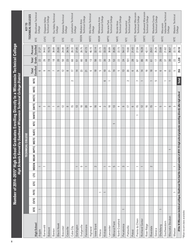| i<br>ſ<br>l<br>ļ |  |
|------------------|--|
|                  |  |

|                                                                                                                                                      |                          |             |                          |     |    |                          | וויישט בוטטווטט ווניוו |                          |                   |             |            |                          |                 | י מן סטעווועפא ווואנטוואוווינט נייווקט פואוווינט |                          |                          |                       |                     |             |                                          |
|------------------------------------------------------------------------------------------------------------------------------------------------------|--------------------------|-------------|--------------------------|-----|----|--------------------------|------------------------|--------------------------|-------------------|-------------|------------|--------------------------|-----------------|--------------------------------------------------|--------------------------|--------------------------|-----------------------|---------------------|-------------|------------------------------------------|
|                                                                                                                                                      |                          |             |                          |     |    |                          |                        |                          | TECHNICAL COLLEGE |             |            |                          |                 |                                                  |                          |                          |                       |                     |             | TECHNICAL COLLEGES<br>KEY TO             |
| <b>High School</b>                                                                                                                                   | <b>BTC</b>               | <b>CVTC</b> | <b>FVTC</b>              | GTC | ĽC |                          | MDSN MILW MPTC         |                          | <b>NSTC</b>       | <b>NATC</b> | <b>NTC</b> |                          | NWTC SWTC WCTC  | <b>WITC</b>                                      | <b>NTC</b>               | Enrolled<br><b>Total</b> | Grads<br><b>Total</b> | Enrolled<br>Percent | <b>BTC</b>  | Blackhawk Technical                      |
| Argyle                                                                                                                                               | $\overline{\phantom{0}}$ |             |                          |     |    |                          |                        |                          |                   |             |            |                          | 4               |                                                  |                          | $\circ$                  | 22                    | 27.27               |             | College                                  |
| Barneveld                                                                                                                                            |                          |             |                          |     |    | $\overline{ }$           |                        |                          |                   |             |            |                          | $\sim$          |                                                  |                          | တ                        | 26                    | 34.62               | CVTC        | Chippewa Valley                          |
| <b>Belmont</b>                                                                                                                                       |                          |             |                          |     |    |                          |                        |                          |                   |             |            |                          | S               |                                                  |                          | 3                        | $\overline{9}$        | 15.79               |             | Technical College                        |
| Benton                                                                                                                                               |                          |             |                          |     |    |                          |                        |                          |                   |             |            |                          | $\overline{ }$  |                                                  |                          | $\overline{ }$           | $\approx$             | 38.89               | <b>FVTC</b> | Fox Valley Technical                     |
| <b>Black Hawk</b>                                                                                                                                    |                          |             |                          |     |    |                          |                        |                          |                   |             |            |                          | 5               |                                                  |                          | 5                        | 20                    | 25.00               |             | College                                  |
| Boscobel                                                                                                                                             |                          |             |                          |     |    |                          |                        |                          |                   |             |            |                          | $\approx$       |                                                  |                          | $\approx$                | 50                    | 24.00               | <b>GTC</b>  | Gateway Technical                        |
| Cassville                                                                                                                                            |                          |             |                          |     |    |                          |                        |                          |                   |             |            |                          | $\infty$        |                                                  |                          | $\infty$                 | 23                    | 34.78               |             | College                                  |
| Cuba City                                                                                                                                            |                          |             |                          |     |    |                          |                        |                          |                   |             |            |                          | 51              |                                                  | $\sim$                   | $\overline{1}$           | 8                     | 28.33               | LLC         | Lakeshore Technical                      |
| Darlington                                                                                                                                           |                          |             |                          |     |    |                          |                        |                          |                   |             |            |                          | $\frac{3}{2}$   |                                                  |                          | $\overline{1}$           | 51                    | 27.45               |             | College                                  |
| Dodgeville                                                                                                                                           |                          |             |                          |     |    | 5                        |                        |                          |                   |             |            |                          | $\approx$       |                                                  |                          | 23                       | 80                    | 28.75               | <b>MDSN</b> | Madison Area                             |
| Fennimore                                                                                                                                            |                          |             |                          |     |    | $\overline{\phantom{0}}$ |                        |                          |                   |             |            |                          | 20              |                                                  |                          | $\overline{21}$          | $\overline{4}$        | 47.73               |             | Technical College                        |
| Highland                                                                                                                                             |                          |             |                          |     |    |                          |                        |                          |                   |             |            |                          | ڡ               |                                                  |                          | 6                        | $\tilde{c}$           | 46.15               | <b>MSTC</b> | Mid-State Technical                      |
| lowa-Grant                                                                                                                                           |                          |             |                          |     |    | $\sim$                   |                        |                          |                   |             |            |                          | $\frac{6}{2}$   |                                                  |                          | $\frac{8}{10}$           | 9g                    | 32.14               |             | College                                  |
| Ithaca                                                                                                                                               |                          |             | $\overline{\phantom{0}}$ |     |    |                          |                        |                          |                   |             |            |                          | 4               |                                                  |                          | 5                        | 22                    | 22.73               | MILW        | Technical College<br>Milwaukee Area      |
| Kickapoo                                                                                                                                             |                          |             |                          |     |    | $\overline{\phantom{0}}$ |                        |                          |                   |             |            |                          | $\sim$          |                                                  | 6                        | $\supseteq$              | $30\,$                | 33.33               |             |                                          |
| Lancaster                                                                                                                                            |                          |             |                          |     |    | $\sim$                   |                        |                          |                   |             |            |                          | $\approx$       |                                                  | $\overline{\phantom{0}}$ | $\overline{21}$          | 54                    | 38.89               | NPTC        | Technical College<br>Moraine Park        |
| Mineral Point                                                                                                                                        |                          |             |                          |     |    | 5                        |                        |                          |                   |             |            |                          | $\frac{3}{2}$   |                                                  |                          | $\overline{19}$          | £3                    | 35.85               |             |                                          |
| North Crawford                                                                                                                                       |                          |             |                          |     |    |                          |                        |                          |                   |             |            |                          | 4               |                                                  |                          | G                        | 22                    | 22.73               | NATC        | Technical College<br>Nicolet Area        |
| Pecatonica                                                                                                                                           |                          |             |                          |     |    | S                        |                        |                          |                   |             |            |                          | 9               |                                                  |                          | $\widetilde{\mathbb{C}}$ | 24                    | 54.17               |             |                                          |
| Platteville                                                                                                                                          |                          |             |                          |     |    | $\overline{\phantom{0}}$ |                        |                          |                   |             |            |                          | $\overline{1}$  |                                                  | $\sim$                   | 20                       | 101                   | 19.80               | NTC         | <b>Technical College</b><br>Northcentral |
| Potosi                                                                                                                                               |                          |             |                          |     |    |                          |                        |                          |                   |             |            |                          | 6               |                                                  |                          | 9                        | 28                    | 21.43               |             |                                          |
| Prairie du Chien                                                                                                                                     |                          |             |                          |     |    | $\overline{\phantom{0}}$ |                        |                          |                   |             |            | $\overline{\phantom{0}}$ | 15              |                                                  | $\overline{ }$           | 24                       | 18                    | 27.59               | NWTC        | Northeast Wisconsin<br>Technical College |
| <b>Richland Center</b>                                                                                                                               |                          |             |                          |     |    | $\overline{\phantom{0}}$ |                        |                          |                   |             |            |                          | $\overline{12}$ |                                                  |                          | $\overline{1}$           | 88                    | 16.28               | SWTC        | Southwest Wisconsin                      |
| River Ridge                                                                                                                                          |                          |             |                          |     |    |                          |                        |                          |                   |             |            |                          | $\frac{6}{1}$   |                                                  |                          | $\frac{6}{1}$            | 88                    | 42.11               |             | Technical College                        |
| Riverdale                                                                                                                                            |                          |             |                          |     |    | $\sim$                   |                        |                          |                   |             |            |                          | $\frac{5}{1}$   |                                                  |                          | $\frac{8}{10}$           | 61                    | 29.51               | <b>WCTC</b> | Waukesha County                          |
| Seneca                                                                                                                                               |                          |             |                          |     |    |                          |                        |                          |                   |             |            |                          |                 |                                                  | S                        | 6                        | $\Box$                | 35.29               |             | Technical College                        |
| Shullsburg                                                                                                                                           |                          |             |                          |     |    |                          |                        |                          |                   |             |            |                          | 5               |                                                  |                          | $\circ$                  | 26                    | 23.08               | WITC        | Wisconsin                                |
| Southwestern                                                                                                                                         |                          |             |                          |     |    |                          |                        |                          |                   |             |            |                          | $\overline{ }$  |                                                  | $\overline{\phantom{0}}$ | $\infty$                 | 57                    | 21.62               |             | Indianhead Technical                     |
| Wauzeka-Steuben                                                                                                                                      |                          |             |                          |     |    |                          |                        | $\overline{\phantom{0}}$ |                   |             |            |                          | ၅               |                                                  |                          | $\overline{\phantom{0}}$ | 30                    | 36.67               |             | College                                  |
| Weston                                                                                                                                               |                          |             |                          |     |    |                          |                        |                          |                   |             |            |                          | S               |                                                  |                          | 5                        | 22                    | 22.73               | <b>WTC</b>  | Western Technical                        |
| Of the 16 Wisconsin technical colleges, Southwest Tech had the largest number of 2014–15 high school graduates enrolling directly after high school. |                          |             |                          |     |    |                          |                        |                          |                   |             |            |                          |                 |                                                  | <b>Total</b>             | 356                      | 1,220                 | 29.18               |             | College                                  |

\*Most recent data available. *\*Most recent data available.*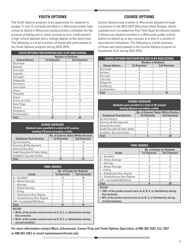# **YOUTH OPTIONS**

The Youth Options program is an opportunity for students in grades 11 and 12 currently enrolled in a Wisconsin public high school to attend a Wisconsin postsecondary institution for the purpose of taking one or more courses to earn credit toward a high school diploma and a college degree at the same time. The following is a brief summary of those who participated in the Youth Options program during 2015-2016.

| YOUTH OPTIONS PARTICIPATION 2015-16 BY HIGH SCHOOL |                           |                     |  |  |
|----------------------------------------------------|---------------------------|---------------------|--|--|
|                                                    | <b>Number of Students</b> |                     |  |  |
| <b>School District</b>                             | <b>1st Semester</b>       | <b>2nd Semester</b> |  |  |
| <b>Barneveld</b>                                   |                           |                     |  |  |
| Belmont                                            |                           |                     |  |  |
| Boscobel                                           |                           |                     |  |  |
| Cassville                                          | 2                         | 3                   |  |  |
| Darlington                                         | N                         | 2                   |  |  |
| Dodgeville                                         |                           | 0                   |  |  |
| Fennimore                                          | 3                         | 3                   |  |  |
| Iowa-Grant                                         |                           |                     |  |  |
| Ithaca                                             |                           |                     |  |  |
| Platteville                                        |                           | N                   |  |  |
| Potosi                                             | N                         |                     |  |  |
| Prairie du Chien                                   | 10                        | 13                  |  |  |
| <b>River Ridge</b>                                 |                           |                     |  |  |
| Seneca                                             |                           |                     |  |  |
| Shullsburg                                         | N                         |                     |  |  |
| Southwestern                                       | n                         |                     |  |  |
| <b>Total</b>                                       | 22                        | 30                  |  |  |

#### **COURSE OVERVIEW** *Students were enrolled in a total of 82 courses totaling 219 post-secondary credits.*

|                                             | <b>No. of Courses Taken Within Division</b> |                     |
|---------------------------------------------|---------------------------------------------|---------------------|
| <b>Southwest Tech Division</b>              | <b>1st Semester</b>                         | <b>2nd Semester</b> |
| Ag and Industry                             |                                             | 14                  |
| <b>Business &amp; Management</b>            |                                             |                     |
| <b>General Education</b>                    |                                             |                     |
| <b>Health Education &amp; Public Safety</b> |                                             |                     |
| Academic Success Center                     |                                             |                     |
| Total                                       |                                             |                     |

|                                 | <b>FINAL GRADES</b> |                                   |
|---------------------------------|---------------------|-----------------------------------|
|                                 |                     | <b>No. of Grades for Students</b> |
| Grade                           | <b>1st Semester</b> | <b>2nd Semester</b>               |
| $A = Excellent$                 | 14                  | 28                                |
| $B =$ Above Average             |                     |                                   |
| $C = Average$                   | 5                   | 5                                 |
| $D =$ Below Average             |                     |                                   |
| $F = Failing$                   |                     |                                   |
| $S = S$ atisfactory Non-Degree  |                     |                                   |
| $U =$ Unsatisfactory Non-Degree |                     |                                   |
| I/W = Incomplete/Withdrew       |                     |                                   |
| Total                           | ا 3                 | 51                                |
| <b>RECAP:</b>                   |                     |                                   |

**• 96.8% of the grades earned were an A, B, C, or Satisfactory during first semester.**

**• 98.0% of the grades earned were an A, B, C, or Satisfactory during second semester.**

# **COURSE OPTIONS**

Course Options was created in Wisconsin statutes through a provision in the 2013-2015 Wisconsin State Budget, which repealed and recreated the Part-Time Open Enrollment statute. It allows any student enrolled in a Wisconsin public school district to attend up to two courses at a time in a variety of educational institutions. The following is a brief summary of those who participated in the Course Options program at Southwest Tech during 2015-2016.

|                        | <b>COURSE OPTIONS PARTICIPATION 2015-16 BY HIGH SCHOOL</b> |                           |
|------------------------|------------------------------------------------------------|---------------------------|
|                        |                                                            | <b>Number of Students</b> |
| <b>School District</b> | <b>1st Semester</b>                                        | <b>2nd Semester</b>       |
| <b>Barneveld</b>       |                                                            |                           |
| <b>Belmont</b>         |                                                            | 5                         |
| Boscobel               |                                                            |                           |
| Cuba City              |                                                            |                           |
| Dodgeville             |                                                            |                           |
| Shullsburg             |                                                            |                           |
| Southwestern           |                                                            |                           |
| Total                  |                                                            |                           |

**COURSE OVERVIEW** *Students were enrolled in a total of 28 courses totaling 68 post-secondary credits.* **Southwest Tech Division No. of Courses Taken Within Division 1st Semester 2nd Semester**

| Ag and Industry                             |  |
|---------------------------------------------|--|
| <b>Business &amp; Management</b>            |  |
| <b>General Education</b>                    |  |
| <b>Health Education &amp; Public Safety</b> |  |
| Academic Success Center                     |  |
| htel                                        |  |

|                                 | <b>FINAL GRADES</b>               |                     |
|---------------------------------|-----------------------------------|---------------------|
|                                 | <b>No. of Grades for Students</b> |                     |
| Grade                           | <b>1st Semester</b>               | <b>2nd Semester</b> |
| $A = Excellent$                 | 5                                 | 9                   |
| $B =$ Above Average             | 2                                 | 8                   |
| $C = Average$                   |                                   |                     |
| $D =$ Below Average             |                                   |                     |
| $F =$ Failing                   |                                   |                     |
| S = Satisfactory Non-Degree     | N                                 |                     |
| $U =$ Unsatisfactory Non-Degree | Ω                                 |                     |
| I/W = Incomplete/Withdrew       |                                   |                     |
| <b>Total</b>                    | 8                                 | 20                  |
| <b>RECAP:</b>                   |                                   |                     |

**• 100% of the grades earned were an A, B, C, or Satisfactory during first semester.**

**• 90% of the grades earned were an A, B, C, or Satisfactory during second semester.**

**For more information contact Mary Johannesen, Career Prep and Youth Options Specialist, at 800-362-3322, Ext. 2367 or 608-822-2367 or email mjohannesen@swtc.edu.**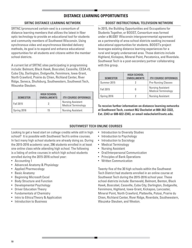# **DISTANCE LEARNING OPPORTUNITIES**

# **SRTNC DISTANCE LEARNING NETWORK**

SRTNC (pronounced certain-see) is a consortium of distance learning members that utilizes the latest in fiber optic technology to provide an educational tool for students and community members of Southwest Wisconsin. Using synchronous video and asynchronous blended delivery methods, its goal is to expand and enhance educational opportunities for all students and citizens within the member school districts.

A current list of SRTNC sites participating in programming include: Belmont, Black Hawk, Boscobel, Cassville, CESA #3, Cuba City, Darlington, Dodgeville, Fennimore, Iowa-Grant, North Crawford, Prairie du Chien, Richland Center, River Ridge, Seneca, Shullsburg, Southwestern, Southwest Tech, Wauzeka-Steuben.

| <b>SEMESTER</b> | <b>HIGH SCHOOL</b><br><b>ENROLLMENTS</b> | <b>ITV COURSE OFFERINGS</b>                     |
|-----------------|------------------------------------------|-------------------------------------------------|
| Fall 2015       |                                          | Nursing Assistant<br><b>Medical Terminology</b> |
| Spring 2016     | 15                                       | <b>Nursing Assistant</b>                        |

# **BOOST INSTRUCTIONAL TELEVISION NETWORK**

In 2015, the Building Opportunities and Occupations for Students Together, or BOOST, Consortium was formed under a 66.0301 Wisconsin intergovernmental agreement as a partnership of area school districts seeking increased educational opportunities for students. BOOST's project leverages existing distance learning experiences for a rural and largely underserved area. Those districts include Highland, Kickapoo, Mineral Point, Pecatonica, and Riverdale. Southwest Tech is a post-secondary partner collaborating with this group.

| <b>SEMESTER</b> | <b>HIGH SCHOOL</b><br><b>ENROLLMENTS</b> | <b>ITV COURSE OFFERINGS</b>                            |
|-----------------|------------------------------------------|--------------------------------------------------------|
| Summer 2015     |                                          | <b>Pre-Nursing Classes</b>                             |
| Fall 2015       |                                          | <b>Nursing Assistant</b><br><b>Medical Terminology</b> |
| Spring 2016     |                                          | <b>Nursing Assistant</b>                               |

**To receive further information on distance learning networks at Southwest Tech, contact MJ Dachelet at 800-362-3322, Ext. 2343 or 608-822-2343, or email mdachelet@swtc.edu.**

# **SOUTHWEST TECH ONLINE COURSES**

Looking to get a head start on college credits while still in high school? It is possible with Southwest Tech's online courses. In fact many high school students are already doing so. During the 2015-2016 academic year, 296 students enrolled in at least one online class while attending high school. The following is a listing of online courses in which high school students enrolled during the 2015-2016 school year:

- Accounting 1
- Advanced Anatomy & Physiology
- Applied Pharmacology
- Basic Anatomy
- Beginning Microsoft Excel
- Body Structure and Function
- Developmental Psychology
- Driver Education Theory
- Fundamentals of Chemistry
- Intro to Ethics/Theory & Application
- Introduction to Business
- Introduction to Diversity Studies
- Introduction to Psychology
- Introduction to Sociology
- Medical Terminology
- Nursing Assistant
- Oral/Interpersonal Communication
- Principles of Bank Operations
- Written Communication

Twenty-five of the 30 high schools within the Southwest Tech District had students enrolled in an online course at Southwest Tech during the 2015-2016 school year. These school districts include: Barneveld, Belmont, Benton, Black Hawk, Boscobel, Cassville, Cuba City, Darlington, Dodgeville, Fennimore, Highland, Iowa-Grant, Kickapoo, Lancaster, Mineral Point, North Crawford, Platteville, Potosi, Prairie du Chien, Richland Center, River Ridge, Riverdale, Southwestern, Wauzeka-Steuben, and Weston.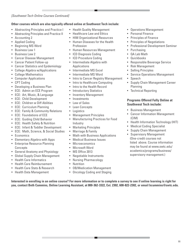# *[Southwest Tech Online Courses Continued]*

# **Other courses which are also typically offered online at Southwest Tech include:**

- Abstracting Principles and Practice I
- Abstracting Principles and Practice II
- Accounting 2
- Applied Coding
- Beginning MS Word
- Business Law 1
- Business Law 2
- Cancer Disease Management
- Cancer Patient Follow-up
- Cancer Statistics and Epidemiology
- College Algebra w/Applications
- College Mathematics
- Computer Applications
- CPT Coding
- Developing a Business Plan
- ECE: Admin an ECE Program
- ECE: Art, Music, & Language
- ECE: Child Development
- ECE: Children w Diff Abilities
- ECE: Curriculum Planning
- ECE: Family & Community Relations
- ECE: Foundations of ECE
- ECE: Guiding Child Behavior
- ECE: Health Safety & Nutrition
- ECE: Infant & Toddler Development
- ECE: Math, Science, & Social Studies
- Economics
- Elementary Algebra with Apps
- Enterprise Resource Planning **Concepts**
- General Anatomy and Physiology
- Global Supply Chain Management
- Health Care Informatics
- Health Care Reimbursement
- Health Care Stats & Research
- Health Data Management
- Health Quality Management
- Healthcare Law and Ethics
- HIM Organizational Resources
- Human Diseases for the Health Profession
- Human Resources Management
- ICD Diagnosis Coding
- ICD Procedure Coding
- Intermediate Algebra with Applications
- Intermediate MS Excel
- Intermediate MS Word
- Intro to Cancer Registry Management
- Intro to Healthcare Computing
- Intro to the Health Record
- Introductory Statistics
- Inventory Management
- Investments
- Law of Sales
- Lean Concepts
- Logistics
- Management Principles
- Manufacturing Practices for Food Industry
- Marketing Principles
- Marriage & Family
- Math with Business Applications
- Medical Business Issues
- Microeconomics
- Microsoft Word
- MS Office 2013
- Negotiable Instruments
- Nursing Pharmacology
- Nutrition
- OB/Medication Management
- Oncology Coding and Staging
- Operations Management
- Personal Finance
- Principles of Finance
- Principles of Negotiations
- Professional Development Seminar
- **Purchasing**
- QA Lab Math
- Quickbooks
- Responsible Beverage Service
- Risk Management
- Selling Principles
- Service Operations Management
- Speech
- Supply Chain Management Career Planning
- Technical Reporting

# **Programs Offered Fully Online at Southwest Tech include:**

- Business Management
- Cancer Information Management (CIM)
- Health Information Technology (HIT)
- Medical Coding Specialist
- Supply Chain Management
- Supervisory Management (One-credit courses not listed above. Course information may be found at www.swtc.edu/ academics/programs/business/ supervisory-management.)

**Interested in enrolling in an online course? For more information or to complete a survey to see if online learning is right for you, contact Beth Cummins, Online Learning Assistant, at 800-362-3322, Ext. 2302, 608-822-2302, or email bcummins@swtc.edu.**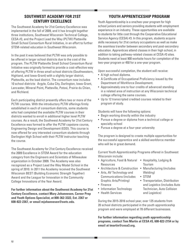# **SOUTHWEST ACADEMY FOR 21ST CENTURY EXCELLENCE**

The Southwest Academy for 21st Century Excellence was implemented in the fall of 2009, and it has brought together three institutions, Southwest Wisconsin Technical College, CESA #3, and the Project Lead the Way (PLTW) Platteville Small School Consortium Rural Initiative, in an effort to further STEM-related education in Southwest Wisconsin.

In the past it was believed that PLTW was only possible to be offered in larger school districts due to the cost of the program. The PLTW Platteville Small School Consortium Rural Initiative was originally formed to provide a cost-effective way of offering PLTW in three small school districts (Southwestern, Highland, and Iowa-Grant) with a slightly larger district, Platteville, as the lead district. The consortium now includes 10 school districts: Argyle, Cuba City, Darlington, Iowa-Grant, Lancaster, Mineral Point, Platteville, Potosi, Prairie du Chien, and Richland.

Each participating district presently offers two or more of the PLTW courses. With the introductory PLTW offerings firmly established in each of consortium districts, some students who had completed the available PLTW courses in their districts wanted to enroll in additional higher level PLTW courses. As a result, the Southwest Academy for 21st Century Excellence was formed to offer the PLTW capstone course, Engineering Design and Development (EDD). This course is now offered for any interested consortium students through Darlington High School with their PLTW instructor teaching the course.

The Southwest Academy for 21st Century Excellence received the 2009 Excellence in STEM Award for the education category from the Engineers and Scientists of Milwaukee organization in October 2009. The Academy was also recognized as a Project Lead the Way Model School in the spring of 2010. In 2011 the Academy received the Southwest Wisconsin BEST (Building Economic Strength Together) Award and the League for Innovation in the Community College Innovations of the Year Award.

**For further information about the Southwest Academy for 21st Century Excellence, contact Mary Johannesen, Career Prep and Youth Options Specialist, at 800-362-3322, Ext. 2367 or 608-822-2367, or email mjohannesen@swtc.edu.** 

# **YOUTH APPRENTICESHIP PROGRAM**

Youth Apprenticeship is a one/two-year program for high school juniors and seniors providing students with employment experience in an industry. These opportunities are available to students for little cost through the Cooperative Educational Service Agency (CESA) #3. In this program, students acquire skills necessary for 21st century occupations as well as make the seamless transfer between secondary and post-secondary education. Apprentices attend classes in their high school, in addition to taking pathway-related classes at CESA #3 sites. Students need at least 900 worksite hours for completion of the two-year program or 450 for a one-year program.

Upon successful completion, the student will receive:

- A high school diploma.
- A Certificate of Occupational Proficiency issued by the Department of Workforce Development.
- Approximately one to four credits of advanced standing in a related area of instruction at any Wisconsin technical college offering the same courses.
- Up to 12 transcripted credited courses related to their program of study.

Students will have the following options:

- Begin working directly within the industry
- Pursue a degree or diploma from a technical college or specialty school
- Pursue a degree at a four-year university

The program is designed to create multiple opportunities for the successful apprentice and a skilled workforce member who will be in great demand.

Current Youth Apprenticeship Programs offered in Southwest Wisconsin include:

- Agriculture, Food & Natural Hospitality, Lodging & Resources
- Architecture & Construction Manufacturing (includes
- Arts, AV Technology and Communications (includes Graphic Arts/Printing)
- Finance
- Information Technology
- Health Services

During the 2015-2016 school year, over 125 students from 20 school districts participated in the youth apprenticeship program and were employed at 78 different businesses.

**For further information regarding youth apprenticeship programs, contact Tom Martin at CESA #3, 608-822-2154 or by email at tmartin@cesa3.org.** 

- Tourism
- Welding)

and Logistics)

and Logistics (includes Auto Technician, Auto Collision

• STEM • Transportation, Distribution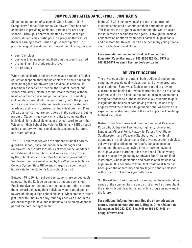# **COMPULSORY ATTENDANCE (118.15) CONTRACTS**

Since the enactment of Wisconsin State Statute 118.15 Compulsory School Attendance, Southwest Tech has been committed to providing additional services for area high schools. Through a contract initiated by their local high school, students may participate in a program that assists them in earning a state-issued high school diploma. For program eligibility, a student must meet the following criteria:

- age 16 or older
- one year (minimum) behind their class in credits earned
- at a minimum 9th grade reading level
- at-risk status

When school districts believe they have a candidate for this educational option, they should contact the basic education case manager at Southwest Tech to discuss options. If it seems reasonable to proceed, the student, parent, and school official will initiate a formal intake meeting with the basic education case manager on campus. This meeting will facilitate general information sharing, tailor the program and its expectations to student needs, assess the student's academic ability, and construct an Individual Learning Plan. All parties concerned are considered in the contract creating process. Students may work on credits to complete their individual high school diploma, or they can work to earn the Wisconsin High School Equivalency Diploma (HSED) through taking a battery (writing, social studies, science, literature, and math) of tests.

The 118.15 contract between the student, student's parent/ guardian, school, basic education case manager and Southwest Tech, addresses hours of attendance, academic and behavioral expectations, and services to be provided by the school district. The rates for services provided by Southwest Tech are established by the Wisconsin Technical College System State Office and charged at a contracted hourly rate to the student's local school district.

Between 15 to 20 high school-age students are served each semester by the College on campus or at outreach sites. Pupils receive instructional, self-paced support that nurtures them toward achieving their individually contracted goal or toward obtaining a high school diploma. Most students attend just under four hours per day, four days per week. Students are encouraged to have and maintain outside employment as part of the contract agreement.

In the 2015-2016 school year, 85 percent of contracted students completed or continued their educational goals. This is above the target of 75 percent that the State has set for students to accomplish their goals. Through the positive collaboration of efforts by students, families, high schools, and our staff, Southwest Tech has helped many young people secure a high school diploma.

**For more information contact Brek Schneider, Basic Education Case Manager, at 800-362-3322, Ext. 2649 or 608-822-2649, or email bschneider@swtc.edu.**

# **DRIVER EDUCATION**

The driver education programs, both traditional and on-line, continue to provide quality classroom and driving programs to all students. Southwest Tech is contracted to provide classroom and behind-the-wheel instruction for 16 area school districts, while its on-line course continues to serve students throughout Wisconsin. These classes allow students to gain insight into the basics of safe driving techniques and they eagerly await their chance to get behind-the-wheel with our experienced instructors, where they will apply this knowledge to the driving task.

District schools in Barneveld, Benton, Boscobel, Cassville, Cuba City, Dodgeville, Fennimore, Highland, Iowa-Grant, Lancaster, Mineral Point, Platteville, Potosi, River Ridge, Southwestern and Wauzeka-Steuben, flourish with full attendance in their classrooms. Our driver education vehicles, yellow triangles affixed to their roofs, can also be seen throughout the area, as novice drivers learn to navigate the highways and learn the rules of the road. These young teens are expertly guided by Southwest Tech's 18 qualified instructors, whose dedication and professionalism deserve high praise. It is because of them, that Southwest Tech has been given the opportunity and privilege to conduct classes within our district schools year after year.

Southwest Tech looks forward to serving the driver education needs of the communities in our district as well as throughout the state with both traditional and online programs now and in the future.

**For additional information regarding the driver education course, please contact Annette L. Biggin, Driver Education Manager, at 800-362-3322, Ext. 2466 or 608-822-2466, or abiggin@swtc.edu.**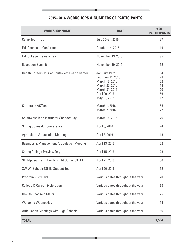# **2015–2016 WORKSHOPS & NUMBERS OF PARTICIPANTS**

| <b>WORKSHOP NAME</b>                                  | <b>DATE</b>                                                                                                                          | # OF<br><b>PARTICIPANTS</b>             |
|-------------------------------------------------------|--------------------------------------------------------------------------------------------------------------------------------------|-----------------------------------------|
| <b>Camp Tech Trek</b>                                 | July 20-21, 2015                                                                                                                     | 37                                      |
| <b>Fall Counselor Conference</b>                      | October 14, 2015                                                                                                                     | 19                                      |
| <b>Fall College Preview Day</b>                       | November 13, 2015                                                                                                                    | 195                                     |
| <b>Education Summit</b>                               | November 19, 2015                                                                                                                    | 52                                      |
| <b>Health Careers Tour at Southwest Health Center</b> | <b>January 19, 2016</b><br>February 11, 2016<br>March 15, 2016<br>March 23, 2016<br>March 31, 2016<br>April 20, 2016<br>May 10, 2016 | 54<br>28<br>22<br>14<br>20<br>56<br>112 |
| <b>Careers in ACTion</b>                              | March 1, 2016<br>March 2, 2016                                                                                                       | 165<br>72                               |
| Southwest Tech Instructor Shadow Day                  | March 15, 2016                                                                                                                       | 26                                      |
| <b>Spring Counselor Conference</b>                    | April 6, 2016                                                                                                                        | 24                                      |
| <b>Agriculture Articulation Meeting</b>               | April 8, 2016                                                                                                                        | 18                                      |
| <b>Business &amp; Management Articulation Meeting</b> | April 13, 2016                                                                                                                       | 22                                      |
| <b>Spring College Preview Day</b>                     | April 15, 2016                                                                                                                       | 128                                     |
| <b>STEMposium and Family Night Out for STEM</b>       | April 21, 2016                                                                                                                       | 150                                     |
| SW WI Schools2Skills Student Tour                     | April 26, 2016                                                                                                                       | 52                                      |
| Program Visit Days                                    | Various dates throughout the year                                                                                                    | 120                                     |
| <b>College &amp; Career Exploration</b>               | Various dates throughout the year                                                                                                    | 68                                      |
| How to Choose a Major                                 | Various dates throughout the year                                                                                                    | 25                                      |
| Welcome Wednesday                                     | Various dates throughout the year                                                                                                    | 19                                      |
| <b>Articulation Meetings with High Schools</b>        | Various dates throughout the year                                                                                                    | 66                                      |
| <b>TOTAL</b>                                          |                                                                                                                                      | 1,564                                   |

and the control of the control of the control of

ш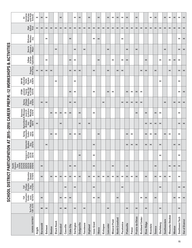| I                              |
|--------------------------------|
|                                |
|                                |
|                                |
|                                |
|                                |
|                                |
|                                |
|                                |
|                                |
|                                |
|                                |
|                                |
| l                              |
|                                |
| <br> -<br> <br> <br> <br> <br> |
|                                |
| l                              |
|                                |
|                                |
|                                |
|                                |
| I                              |
| I                              |
|                                |
|                                |
|                                |
|                                |
|                                |
|                                |
|                                |
|                                |
|                                |
| ١                              |
|                                |
|                                |
|                                |
|                                |
|                                |
|                                |
|                                |
|                                |
|                                |
| こうしょう りょうりょう しょうりょう            |
|                                |
|                                |
|                                |
|                                |
|                                |
| $\frac{1}{1}$                  |
|                                |
|                                |
|                                |
|                                |
|                                |
|                                |
|                                |
|                                |
|                                |
|                                |
|                                |
|                                |
|                                |
| I                              |
|                                |
|                                |
|                                |
|                                |
|                                |
|                                |
| ו)<br>ו                        |

|                                                                                    | Meetings<br>with High<br>ticulation<br><b>Schools</b><br>åŀ-                            | $\boldsymbol{\times}$ | $\boldsymbol{\times}$ | $\boldsymbol{\times}$ |                       |                       | $\mathord{\Join}$     |                       |                       | $\boldsymbol{\times}$ | $\boldsymbol{\times}$ |                       | $\boldsymbol{\times}$ |                       | $\boldsymbol{\times}$ |                       | $\boldsymbol{\times}$ | $\boldsymbol{\times}$ | $\boldsymbol{\times}$ | $\boldsymbol{\times}$ | $\boldsymbol{\times}$ |                       | $\boldsymbol{\times}$ |                        |                       | $\boldsymbol{\times}$ | $\boldsymbol{\times}$ |                       | $\boldsymbol{\times}$ | $\boldsymbol{\times}$ | $\boldsymbol{\times}$ | ×                     | $\pmb{\times}$         |
|------------------------------------------------------------------------------------|-----------------------------------------------------------------------------------------|-----------------------|-----------------------|-----------------------|-----------------------|-----------------------|-----------------------|-----------------------|-----------------------|-----------------------|-----------------------|-----------------------|-----------------------|-----------------------|-----------------------|-----------------------|-----------------------|-----------------------|-----------------------|-----------------------|-----------------------|-----------------------|-----------------------|------------------------|-----------------------|-----------------------|-----------------------|-----------------------|-----------------------|-----------------------|-----------------------|-----------------------|------------------------|
|                                                                                    | High<br>School<br>Visit                                                                 | $\boldsymbol{\times}$ | $\boldsymbol{\times}$ | $\boldsymbol{\times}$ | $\boldsymbol{\times}$ | $\boldsymbol{\times}$ | $\boldsymbol{\times}$ | $\boldsymbol{\times}$ | $\boldsymbol{\times}$ | $\boldsymbol{\times}$ | $\boldsymbol{\times}$ | $\boldsymbol{\times}$ | $\boldsymbol{\times}$ | $\boldsymbol{\times}$ | $\boldsymbol{\times}$ | $\boldsymbol{\times}$ | $\boldsymbol{\times}$ | $\boldsymbol{\times}$ | $\boldsymbol{\times}$ | $\boldsymbol{\times}$ | $\mathord{\Join}$     | $\boldsymbol{\times}$ | $\boldsymbol{\times}$ | $\boldsymbol{\times}$  | $\boldsymbol{\times}$ | $\boldsymbol{\times}$ | $\boldsymbol{\times}$ | $\boldsymbol{\times}$ | $\boldsymbol{\times}$ | $\boldsymbol{\times}$ | $\boldsymbol{\times}$ | $\boldsymbol{\times}$ | $\pmb{\times}$         |
|                                                                                    | Welcome<br>Wednes-<br>day                                                               |                       |                       | $\boldsymbol{\times}$ |                       |                       |                       |                       | $\times$              |                       |                       |                       |                       | ×                     | $\boldsymbol{\times}$ |                       |                       |                       |                       | ×                     |                       |                       |                       |                        |                       |                       |                       |                       |                       |                       |                       | ×                     | $\pmb{\times}$         |
| SCHOOL DISTRICT PARTICIPATION AT 2015-2016 CAREER PREP/K-12 WORKSHOPS & ACTIVITIES | How to<br>Choose a<br>Major                                                             |                       |                       |                       |                       | $\boldsymbol{\times}$ |                       |                       |                       | $\boldsymbol{\times}$ |                       | $\boldsymbol{\times}$ |                       |                       |                       |                       | ×                     |                       |                       |                       | $\boldsymbol{\times}$ |                       | $\boldsymbol{\times}$ |                        |                       |                       |                       |                       | $\boldsymbol{\times}$ |                       |                       | $\boldsymbol{\times}$ | $\pmb{\times}$         |
|                                                                                    | College<br>& Career<br>Exploration                                                      |                       |                       | $\boldsymbol{\times}$ |                       |                       |                       |                       | $\boldsymbol{\times}$ | $\boldsymbol{\times}$ |                       |                       |                       |                       | $\boldsymbol{\times}$ |                       |                       | ×                     |                       | ×                     | $\boldsymbol{\times}$ |                       |                       |                        | ×                     |                       |                       | $\boldsymbol{\times}$ |                       | ×                     | $\boldsymbol{\times}$ | $\boldsymbol{\times}$ |                        |
|                                                                                    | Program<br>Visit Days                                                                   | $\boldsymbol{\times}$ | $\boldsymbol{\times}$ | $\boldsymbol{\times}$ | $\boldsymbol{\times}$ |                       |                       |                       | $\boldsymbol{\times}$ | $\boldsymbol{\times}$ | $\boldsymbol{\times}$ |                       |                       | $\boldsymbol{\times}$ |                       |                       | ×                     |                       | $\boldsymbol{\times}$ | $\boldsymbol{\times}$ |                       |                       |                       | $\boldsymbol{\times}$  | $\boldsymbol{\times}$ |                       | $\boldsymbol{\times}$ |                       |                       | $\boldsymbol{\times}$ |                       | $\boldsymbol{\times}$ | $\boldsymbol{\times}$  |
|                                                                                    | SW WI<br>Schools2<br>Skills<br>Student<br>Tour<br>Tour                                  |                       |                       |                       |                       | $\boldsymbol{\times}$ |                       |                       |                       | ×                     |                       |                       |                       |                       |                       |                       |                       |                       |                       |                       |                       |                       |                       |                        |                       |                       |                       | $\boldsymbol{\times}$ |                       |                       |                       | $\boldsymbol{\times}$ |                        |
|                                                                                    | STEM-<br>posium/<br>Family<br>for STEM<br>for STEM<br>4/21/16                           |                       |                       |                       |                       |                       |                       |                       | $\boldsymbol{\times}$ | $\boldsymbol{\times}$ |                       |                       |                       | ×                     |                       |                       | ×                     | $\boldsymbol{\times}$ |                       |                       | $\boldsymbol{\times}$ | $\boldsymbol{\times}$ | $\boldsymbol{\times}$ | $\boldsymbol{\times}$  |                       |                       |                       |                       |                       |                       |                       | ×                     | $\pmb{\times}$         |
|                                                                                    | Spring<br>College<br>Preview<br>Day<br>4/15/16                                          |                       | $\boldsymbol{\times}$ | $\boldsymbol{\times}$ |                       |                       |                       |                       | $\boldsymbol{\times}$ | $\boldsymbol{\times}$ |                       |                       |                       |                       |                       | $\boldsymbol{\times}$ |                       |                       |                       | $\boldsymbol{\times}$ | $\boldsymbol{\times}$ | $\boldsymbol{\times}$ | $\boldsymbol{\times}$ | $\boldsymbol{\times}$  |                       |                       |                       |                       | $\boldsymbol{\times}$ |                       | $\boldsymbol{\times}$ | $\boldsymbol{\times}$ | $\pmb{\times}$         |
|                                                                                    | e Manage-<br>ment Ar-<br>ticulation<br>Meeting<br>Meeting<br>4/13/16<br><b>Business</b> |                       |                       |                       | ×                     | $\boldsymbol{\times}$ | $\boldsymbol{\times}$ | $\boldsymbol{\times}$ | $\boldsymbol{\times}$ |                       | $\boldsymbol{\times}$ |                       |                       | ×                     |                       |                       |                       |                       |                       |                       |                       |                       | ×                     |                        | ×                     |                       | $\boldsymbol{\times}$ | $\boldsymbol{\times}$ |                       |                       |                       | ×                     |                        |
|                                                                                    | Agriculture &<br>Articula-<br>tion<br>Meeting<br>4/8/15                                 | $\boldsymbol{\times}$ |                       |                       |                       |                       | $\boldsymbol{\times}$ |                       |                       |                       | $\boldsymbol{\times}$ |                       | $\boldsymbol{\times}$ |                       |                       |                       |                       |                       |                       |                       |                       |                       |                       |                        | ×                     | $\boldsymbol{\times}$ | $\boldsymbol{\times}$ | $\boldsymbol{\times}$ |                       |                       |                       | $\boldsymbol{\times}$ | $\boldsymbol{\times}$  |
|                                                                                    | Spring<br>Counselor<br>Confer-<br>ence<br>4/6/16                                        |                       |                       |                       | $\boldsymbol{\times}$ | $\boldsymbol{\times}$ |                       |                       | $\boldsymbol{\times}$ | $\boldsymbol{\times}$ | $\boldsymbol{\times}$ |                       |                       |                       | ×                     |                       |                       |                       |                       |                       | $\boldsymbol{\times}$ | $\boldsymbol{\times}$ |                       |                        | $\boldsymbol{\times}$ | ×                     | $\boldsymbol{\times}$ |                       | $\boldsymbol{\times}$ | ×                     |                       | $\boldsymbol{\times}$ |                        |
|                                                                                    | Instructor<br>Shadow<br>Day<br>3/15/16                                                  |                       |                       | $\boldsymbol{\times}$ |                       |                       |                       |                       |                       |                       |                       |                       |                       | $\boldsymbol{\times}$ |                       |                       |                       |                       |                       |                       | $\boldsymbol{\times}$ | $\boldsymbol{\times}$ | $\boldsymbol{\times}$ |                        | $\boldsymbol{\times}$ | $\boldsymbol{\times}$ |                       | $\boldsymbol{\times}$ |                       |                       | $\boldsymbol{\times}$ | $\boldsymbol{\times}$ |                        |
|                                                                                    | Careers in<br>ACTion<br>3/7/16<br>3/2/16                                                |                       |                       |                       |                       |                       |                       |                       |                       |                       | ×                     |                       |                       | ×                     |                       |                       |                       |                       |                       |                       |                       |                       |                       |                        |                       |                       |                       | $\boldsymbol{\times}$ |                       |                       |                       | ×                     |                        |
|                                                                                    |                                                                                         |                       | $\boldsymbol{\times}$ |                       |                       |                       |                       |                       | $\boldsymbol{\times}$ | $\mathord{\times}$    |                       |                       |                       | ×                     |                       |                       |                       | $\boldsymbol{\times}$ |                       |                       | $\boldsymbol{\times}$ |                       |                       |                        |                       |                       | $\boldsymbol{\times}$ |                       |                       | $\boldsymbol{\times}$ | $\boldsymbol{\times}$ | $\boldsymbol{\times}$ |                        |
|                                                                                    | Education<br>Summit<br>11/19/15                                                         |                       | $\boldsymbol{\times}$ |                       | $\boldsymbol{\times}$ | $\boldsymbol{\times}$ | $\boldsymbol{\times}$ | $\boldsymbol{\times}$ | $\boldsymbol{\times}$ | $\boldsymbol{\times}$ | $\boldsymbol{\times}$ |                       | $\boldsymbol{\times}$ | ×                     | $\boldsymbol{\times}$ | $\boldsymbol{\times}$ | $\boldsymbol{\times}$ | $\boldsymbol{\times}$ | $\mathord{\times}$    | $\boldsymbol{\times}$ | $\boldsymbol{\times}$ | $\boldsymbol{\times}$ | $\boldsymbol{\times}$ |                        | $\boldsymbol{\times}$ |                       | $\mathord{\Join}$     | $\boldsymbol{\times}$ | $\boldsymbol{\times}$ | $\boldsymbol{\times}$ |                       | ×                     |                        |
|                                                                                    | College<br>Preview<br>Day<br>11/13/15<br>Fall                                           |                       |                       |                       |                       |                       |                       | $\boldsymbol{\times}$ |                       | $\times$              |                       |                       |                       | ×                     |                       |                       |                       |                       |                       | $\boldsymbol{\times}$ |                       |                       |                       |                        |                       |                       |                       | $\boldsymbol{\times}$ |                       |                       |                       | $\boldsymbol{\times}$ | $\times$               |
|                                                                                    | Fall<br>Counselor<br>Confer-<br>ence<br>10/14/15                                        |                       | $\boldsymbol{\times}$ |                       |                       |                       | $\boldsymbol{\times}$ | $\boldsymbol{\times}$ | $\boldsymbol{\times}$ |                       |                       |                       |                       | $\boldsymbol{\times}$ | $\boldsymbol{\times}$ |                       |                       |                       | $\boldsymbol{\times}$ |                       |                       |                       |                       | ×                      | $\boldsymbol{\times}$ |                       | $\boldsymbol{\times}$ |                       |                       |                       | $\boldsymbol{\times}$ | $\boldsymbol{\times}$ | $\pmb{\times}$         |
|                                                                                    | Tech Trek<br>7/20–21/15                                                                 |                       | $\boldsymbol{\times}$ | $\boldsymbol{\times}$ |                       |                       | $\boldsymbol{\times}$ | $\boldsymbol{\times}$ |                       | $\pmb{\times}$        |                       | $\boldsymbol{\times}$ |                       |                       |                       |                       | ×                     |                       |                       |                       | $\boldsymbol{\times}$ |                       | $\boldsymbol{\times}$ |                        | $\boldsymbol{\times}$ |                       |                       | $\boldsymbol{\times}$ |                       |                       |                       | $\boldsymbol{\times}$ |                        |
|                                                                                    | SCHOOL DISTRICT                                                                         | Argyle                | <b>Barneveld</b>      | <b>Belmont</b>        | Benton                | <b>Black Hawk</b>     | <b>Boscobel</b>       | Cassville             | Cuba City             | Darlington            | Dodgeville            | Fennimore             | Highland              | lowa-Grant            | <b>Ithaca</b>         | Kickapoo              | Lancaster             | <b>Mineral Point</b>  | North Crawford        | Pecatonica            | Platteville           | Potosi                | Prairie du Chien      | <b>Richland Center</b> | <b>River Ridge</b>    | Riverdale             | Seneca                | Shullsburg            | Southwestern          | Wauzeka-Steuben       | Weston                | Southwest Tech        | <b>Out of District</b> |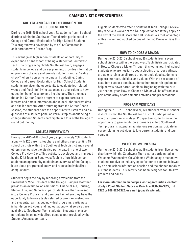# **CAMPUS VISIT OPPORTUNITIES**

# **COLLEGE AND CAREER EXPLORATION FOR HIGH SCHOOL STUDENTS**

During the 2015-2016 school year, 68 students from 11 school districts within the Southwest Tech district participated in College and Career Exploration for High School Students. This program was developed by the K-12 Committee in collaboration with Career Prep.

This event gives high school students an opportunity to experience a "snapshot" of being a student at Southwest Tech. The program highlights Southwest Tech, engages students in college and career planning, provides information on programs of study and provides students with a "reality check" when it comes to income and budgeting. During College and Career Exploration for High School Students, students are given the opportunity to evaluate job-related wages and "real life" living expenses as they relate to how education benefits salary and life choices. They then use the online Career Coach program to explore careers of interest and obtain information about local labor market data and similar careers. After returning from the Career Coach session, the students have the opportunity to listen to and ask questions of a student panel on various topics about being a college student. Students participate in a tour of the College to round out the day.

# **COLLEGE PREVIEW DAY**

During the 2015-2016 school year, approximately 200 students, along with 125 parents, teachers and others, representing 15 school districts within the Southwest Tech district and several others from outside the district, participated in one of two College Preview Days. This activity is developed and managed by the K-12 Team at Southwest Tech. It offers high school students an opportunity to obtain an overview of the College, learn about programs of study, and receive individualized campus tours.

Students begin the day by receiving a welcome from the President or Vice President of the College. Campus staff then provides an overview of Admissions, Financial Aid, Housing, Student Life, and Scholarships. Students are then released into a College Program and Services Fair where they have the opportunity to browse tables staffed by program instructors and students, learn about individual programs, participate in hands-on activities, and find out about what services are available to Southwest Tech students. Students may also participate in an individualized campus tour provided by the Student Ambassador team.

Eligible students who attend Southwest Tech College Preview Day receive a waiver of the \$30 application fee if they apply on the day of the event. More than 180 individuals took advantage of this waiver and applied on one of the two Preview Days this year.

# **HOW TO CHOOSE A MAJOR**

During the 2015-2016 school year, 25 students from seven school districts within the Southwest Tech district participated in How to Choose a Major. Through this workshop, high school students who are hesitant about selecting a career pathway are able to join a small group of other undecided students to explore interests, abilities, and values. With the assistance of a student success coach, students then research options to help narrow down career choices. Beginning with the 2016- 2017 school year, How to Choose a Major will be offered as a part of the array of off-campus activities and presentations.

# **PROGRAM VISIT DAYS**

During the 2015-2016 school year, 120 students from 15 school districts within the Southwest Tech district participated in one of six program visit days. Prospective students have the opportunity to gain hands-on experience in two Southwest Tech programs, attend an admissions session, participate in career planning activities, talk to current students, and tour campus.

# **WELCOME WEDNESDAY**

During the 2015-2016 school year, 19 students from five school districts within the Southwest Tech district participated in Welcome Wednesday. On Welcome Wednesday, prospective students receive an industry-specific tour of campus followed by an admissions information session and the chance to talk to current students. This activity has been designed for 9th-12th graders and adults.

**For more information on campus visit opportunities, contact Jordyn Poad, Student Success Coach, at 800-362-3322, Ext. 2372 or 608-822-2372, or email jpoad@swtc.edu.**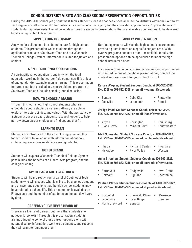# **SCHOOL DISTRICT VISITS AND CLASSROOM PRESENTATION OPPORTUNITIES**

During the 2015-2016 school year, Southwest Tech's student success coaches visited all 30 school districts within the Southwest Tech region as well as several other districts located outside the region, and they provided approximately 75 presentations to students during these visits. The following describes the specialty presentations that are available upon request to be delivered locally in high school classrooms:

# **APPLICATION BOOTCAMP**

Applying for college can be a daunting task for high school students. This presentation walks students through the application process at Southwest Tech and the Wisconsin Technical College System. Information is suited for juniors and seniors.

# **NON-TRADITIONAL OCCUPATIONS**

A non-traditional occupation is one in which the total population working in that career field comprises 25% or less of one gender (for example, men in nursing). This presentation features a student enrolled in a non-traditional program at Southwest Tech and includes small-group discussion.

# **HOW TO CHOOSE A MAJOR**

Through this workshop, high school students who are undecided about selecting a career pathway are able to explore interests, abilities, and values. With the assistance of a student success coach, students research options to help narrow down career choices and find options that fit.

# **LEARN TO EARN**

Students are introduced to the cost of living as an adult in today's society, followed up with information about how college degrees increase lifetime earning potential.

# **NOT 80 GRAND**

Students will explore Wisconsin Technical College System possibilities, the benefits of a Liberal Arts program, and the college price tag.

# **MY LIFE AS A COLLEGE STUDENT**

Students will hear directly from a panel of Southwest Tech students who will discuss what it is like to be a college student and answer any questions that the high school students may have related to college life. This presentation is available on Fridays only and the number of students on the panel will vary by date.

# **CAREERS YOU'VE NEVER HEARD OF**

There are all kinds of careers out there that students may not even know exist. Through this presentation, students are introduced to some of these career options along with potential salary information, workforce demands, and reasons they will want to remember them!

# **FACULTY PRESENTATION**

Our faculty experts will visit the high school classroom and provide a guest lecture on a specific subject area. With over 50 programs and more than 100 available faculty, the presentation options can be specialized to meet the high school instructor's need.

For more information on classroom presentation opportunities or to schedule one of the above presentations, contact the student success coach for your school district:

**Kelsey Wagner, Student Success Coach, at 800-362-3322, Ext. 2358 or 608-822-2358, or email kwagner@swtc.edu.**

- Benton • Cassville • Cuba City • Platteville
	- Lancaster • Potosi

#### **Jordyn Poad, Student Success Coach, at 800-362-3322, Ext. 2372 or 608-822-2372, or email jpoad@swtc.edu.**

• Argyle • Black Hawk **Darlington** • Mineral Point • Shullsburg • Southwestern

**Matt Schneider, Student Success Coach, at 800-362-3322, Ext. 2365 or 608-822-2365, or email mschneider@swtc.edu.**

- Ithaca • Kickapoo • Richland Center • Riverdale
	- River Valley • Weston

**Anna Stremlau, Student Success Coach, at 800-362-3322, Ext. 2316 or 608-822-2316, or email astremlau@swtc.edu.**

• Barneveld • Belmont • Dodgeville • Highland • Iowa-Grant • Pecatonica

**Pauline Wetter, Student Success Coach, at 1-800-362-3322, Ext. 2353 or 608-822-2353, or email at pwetter@swtc.edu.**

- Boscobel
- Prairie du Chien Wauzeka-

Steuben

- Fennimore
- Seneca

• North Crawford • River Ridge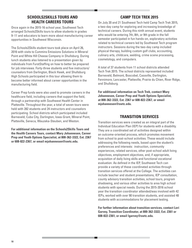# **SCHOOLS2SKILLS TOURS AND HEALTH CAREERS TOURS**

Once again in the 2015-16 school year, Southwest Tech arranged Schools2Skills tours to allow students in grades 9–11 and educators to learn more about manufacturing career opportunities in Southwest Wisconsin.

The Schools2Skills student tours took place on April 26, 2016 with visits to Cummins Emissions Solutions in Mineral Point and White Hill Cheese Company in Shullsburg. During lunch students also listened to a presentation given by individuals from FurstStaffing on how to better be prepared for job interviews. Forty-three students and five instructors/ counselors from Darlington, Black Hawk, and Shullsburg High Schools participated in this tour allowing them to become better informed about career opportunities in the manufacturing field.

Career Prep funds were also used to promote careers in the healthcare field, including careers that support the field, through a partnership with Southwest Health Center in Platteville. Throughout the year, a total of seven tours were held with 282 students and 24 instructors and counselors participating. School districts which participated included Barneveld, Cuba City, Darlington, Iowa-Grant, Mineral Point, Platteville, Seneca, Wauzeka-Steuben, and Weston.

**For additional information on the Schools2Skills Tours and the Health Careers Tours, contact Mary Johannesen, Career Prep and Youth Options Specialist, at 800-362-3322, Ext. 2367 or 608-822-2367, or email mjohannesen@swtc.edu.**

# **CAMP TECH TREK 2015**

On July 20 and 21 Southwest Tech held Camp Tech Trek 2015, a two-day camp for exploring and increasing knowledge of technical careers. During this ninth annual event, students who would be entering 7th, 8th, or 9th grade in the fall semester participated in fun hands-on, exploratory activities related to technical careers led by Southwest Tech program instructors. Sessions during the two-day camp included physical therapy, building custom golf clubs, accounting, culinary arts, childcare, welding, crime scene processing, cosmetology, and computers.

A total of 37 students from 11 school districts attended Tech Trek 2015. The school districts represented included Barneveld, Belmont, Boscobel, Cassville, Darlington, Fennimore, Lancaster, Platteville, Prairie du Chien, River Ridge, and Shullsburg.

**For additional information on Tech Trek, contact Mary Johannesen, Career Prep and Youth Options Specialist, at 800-362-3322, Ext. 2367 or 608-822-2367, or email mjohannesen@swtc.edu.** 

# **TRANSITION SERVICES**

Transition services were created as an integral part of the Individual Education Plan (IEP) for students with a disability. They are a coordinated set of activities designed within an outcome-oriented process, which promotes movement from school to post-school activities. These would include addressing the following needs, based upon the student's preferences and interests: instruction, community experiences, related services, other post-school adult living objectives, employment objectives, and, if appropriate, acquisition of daily living skills and functional vocational evaluation. As defined in the IEP, Southwest Tech can provide a variety of these coordinated activities through transition services offered at the College. The activities can include teacher and student presentations, IEP consultation, county advisory transition activities, school tours, program shadowing, and various other activities to area high school students with special needs. During the 2015-2016 school year the transition coordinator attended/was involved with 42 IEPs, worked with over 90 transition students, and assisted 48 students with accommodations for placement testing.

**For further information about transition services, contact Lori Garvey, Transition Coordinator, at 800-362-3322, Ext. 2361 or 608-822-2361, or email lgarvey@swtc.edu.**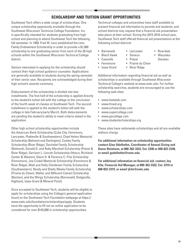# **SCHOLARSHIP AND TUITION GRANT OPPORTUNITIES**

Southwest Tech offers a wide range of scholarships. One unique scholarship opportunity available through the Southwest Wisconsin Technical College Foundation, Inc. is specifically intended for students graduating from high school and planning to attend Southwest Tech the following fall semester. In 1999, Fred W. Lenz established the Lenz Family Endowment Scholarship in order to provide a \$1,000 scholarship to one graduating senior from each of the 30 high schools within the Southwest Wisconsin Technical College district.

Seniors interested in applying for the scholarship should contact their high school guidance counselor. Applications are generally available to students during the spring semester of their senior year. Recipients are acknowledged during their high school's awards ceremony.

Disbursement of the scholarship is divided into two installments. The first half of the scholarship is applied directly to the student's tuition bill with the college at the conclusion of the fourth week of classes at Southwest Tech. The second installment is applied to the student's tuition bill with the college in late February/early March. Both disbursements are pending the student's ability to meet criteria stated in the application.

Other high school scholarship opportunities include the American Bank Scholarship (Cuba City, Fennimore, Lancaster, Platteville & Southwestern), Chad Helms Memorial Scholarship (Belmont and Darlington), Cooley Family Scholarship (River Ridge), Dachelet Family Scholarship (Belmont), Donald G. and Ruby Marshall Scholarship (Potosi & River Ridge), Garrison L. Lincoln Scholarship (Ithaca, Richland Center & Weston), Glenn H. & Florence C. Fritz Scholarship (Fennimore), Joe Crubel Memorial Scholarship (Fennimore & River Ridge), Matt and Holly Clendenen Family Scholarship (Southwestern), Randy and Shelly Weeks Family Scholarship (Prairie du Chien), Walter and Millicent Calvert Scholarship (Benton), and the Wings Scholarship (Barneveld, Dodgeville, Highland, Iowa-Grant & Mineral Point).

Once accepted to Southwest Tech, students will be eligible to apply for scholarships using the College's general application found on the Southwest Tech Foundation webpage at https:// www.swtc.edu/foundation/scholarships/apply. Students have the opportunity to fill out an online application to be considered for over \$145,000 in scholarship opportunities.

Technical colleges and universities have staff available to present financial aid information to parents and students, and school districts may request that a financial aid presentation take place at their school. During the 2015-2016 school year, Southwest Tech staff offered financial aid presentations at the following school districts:

- Barneveld
- Lancaster • Seneca
- Black Hawk • Cassville
	- Potosi
- Fennimore • Iowa-Grant
- 
- Riverdale
- Wauzeka-Steuben
- Prairie du Chien
- River Ridge

Additional information regarding financial aid as well as scholarships is available through Southwest Wisconsin Technical College's website at www.swtc.edu. For further scholarship searches, students are encouraged to use the following web sites:

- www.fastweb.com
- www.finaid.org
- www.scholarships.com
- www.supercollege.com
- www.gocollege.com
- www.studentscholarships.org

These sites have nationwide scholarships and all are available without charge.

**For additional information on scholarship opportunities contact Gina Udelhofen, Coordinator of Annual Giving and Donor Relations, at 800-362-3322, Ext. 2348 or 608-822-2348, or email gudelhofen@swtc.edu.** 

**For additional information on financial aid, contact Joy Kite, Financial Aid Manager, at 800-362-3322, Ext. 2319 or 608-822-2319, or email jkite@swtc.edu.**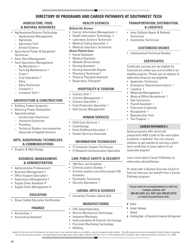# **DIRECTORY OF PROGRAMS AND CAREER PATHWAYS AT SOUTHWEST TECH**

# **AGRICULTURE, FOOD, & NATURAL RESOURCES**

- Agribusiness/Science Technology
	- Agribusiness Management
	- Agronomy
	- Agronomy Tech
	- Animal Science
- Agricultural Power & Equipment **Technician**
- Dairy Herd Management
- Farm Operations Management
	- Ag Mechanics ∆
	- Farm Ag Maintenance ∆
	- Crops ∆
	- Crop Operations ∆
	- **Dairy**
	- Dairy Technician
	- Livestock ∆
	- Livestock Tech ∆

# **ARCHITECTURE & CONSTRUCTION**

- Building Trades-Carpentry
- Electrical Power Distribution
- **Apprenticeships** 
	- Construction Electrician
	- Industrial Electrician
	- Plumbing
	- Technical Studies-Journeyworker Associate of Applied Science

#### **ARTS, AUDIOVISUAL TECHNOLOGY, & COMMUNICATIONS**

• Graphic & Web Design

#### **BUSINESS, MANAGEMENT, & ADMINISTRATION**

- Administrative Professional ‡
- Business Management *0*
- Office Support Specialist ‡
- Supervisory Management *0*
- Supply Chain Assistant *0*‡
- Supply Chain Management *0*‡

# **EDUCATION**

• Driver Safety Education Certification

# **FINANCE**

• Accounting ‡

**20**

• Accounting Assistant

# **HEALTH SCIENCES**

#### *Behind the Scenes*

- Cancer Information Management *0*
- Health Information Technology *0*
- Laboratory Science Technician
- Medical Coding Specialist *0*
- Medical Laboratory Technician

# *Direct Patient Care*

- Dental Assistant
- Medical Assistant
- Midwife (Direct Entry)
- Nursing Assistant
- Nursing-Associate Degree
- Pharmacy Technician^
- Physical Therapist Assistant
- Respiratory Therapist^

# **HOSPITALITY & TOURISM**

- Culinary Arts ‡
- Culinary Management  $\pm$
- Culinary Specialist ‡
- Food Production Specialist  $\pm$
- Golf Course Management

# **HUMAN SERVICES**

- Child Care Services ‡
- Cosmetology
- Early Childhood Education ‡
- Human Services Associate

#### **INFORMATION TECHNOLOGY**

- IT-Computer Support Technician
- IT-Network Communication Specialist

#### **LAW, PUBLIC SAFETY, & SECURITY**

- 160-Hour Jail Academy
- Criminal Justice Studies ‡
- Criminal Justice-Law Enforcement 720 Academy
- Paramedic Technician
- Security Operations  $\pm$

#### **LIBERAL ARTS & SCIENCES**

• University Transfer Liberal Arts

# **MANUFACTURING**

- CNC Setup/Operation
- Electro-Mechanical Technology
- Industrial Mechanic
- Instrumentation & Controls Technology

*Southwest Tech does not discriminate on the basis of race, color, national origin, sex, disability, or age in its programs and activities. The following person has been designated to handle inquiries regarding the non-discrimination policies: The Equal Opportunity/Affirmative Action Officer, 800.362.3322 Ext. 2315 or TDD at 608.822.2072, Southwest Tech, 1800 Bronson Blvd, Fennimore, WI 53809.*

- Precision Machining Technology
- Welding

# **TRANSPORTATION, DISTRIBUTION, & LOGISTICS**

- Auto Collision Repair & Refinish **Technician**
- Automotive Technician

# **CUSTOMIZED DEGREE**

• Individualized Technical Studies

#### **CERTIFICATES**

Certificate courses are not eligible for financial aid unless you are enrolled in an eligible program. Please see an advisor to determine financial aid eligibility.

**CAREER PATHWAYS ‡**

preparation AND a path to the next higher academic credential. You can choose whether to get started by earning a shortterm certificate or jump right in to an

Learn more about Career Pathways at

**If you need an accommodation to visit our campus, please call 800.362.3322, Ext. 2631 (tdd: 608.822.2072) or email accom@swtc.edu.**

**∆** Pending Dept. of Education Financial Aid Approval

Or meet with a Student Success Coach to find out how you can benefit from a Career

- Applicator Technician
- Emergency Telecommunications  $\pm$
- Logistics  $\pm$
- Materials Management  $\pm$
- Medical Office Receptionist  $\pm$

Some programs offer direct job

- Nail Technician
- Payroll Assistant ‡

• Receptionist ‡ • Reproduction Tech Tax Preparer  $\pm$ 

associate degree!

Pathway program.

*0* Online **‡** Career Pathway **^** Shared

www.swtc.edu/pathways

• Preschool Credential